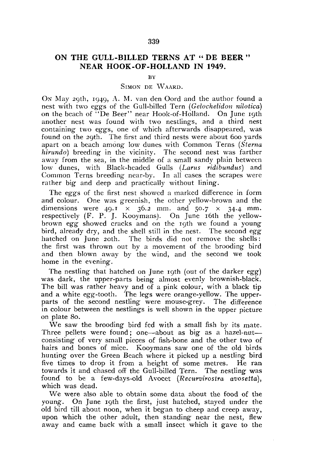## **ON THE GULL-BILLED TERNS AT " DE BEER " NEAR HOOK-OF-HOLLAND IN 1949.**

**BY** 

## SIMON DE WAARD.

ON May 29th, 1949, A. M. van den Oord and the author found a nest with two eggs of the Gull-billed Tern *(Gelochelidon nilotica)*  on the beach of "De Beer" near Hook-of-Holland. On June 19th another nest was found with two nestlings, and a third nest containing two eggs, one of which afterwards disappeared, was found on the 29th. The first and third nests were about 600 yards apart on a beach among low dunes with Common Terns *(Sterna hirundo)* breeding in the vicinity. The second nest was farther away from the sea, in the middle of a small sandy plain between low dunes, with Black-headed Gulls *(Larus ridibundus)* and Common Terns breeding near-by. In all cases the scrapes were rather big and deep and practically without lining.

The eggs of the first nest showed a marked difference in form and colour. One was greenish, the other yellow-brown and the dimensions were  $49.1 \times 36.2$  mm. and  $50.7 \times 34.4$  mm. respectively  $(F. P. J. Kooymans)$ . On June 16th the yellowbrown *egg* showed cracks and on the 19th we found a young bird, already dry, and the shell still in the nest. The second *egg*  hatched on June 20th. The birds did not remove the shells: the first was thrown out by a movement of the brooding bird and then blown away by the wind, and the second we took home in the evening.

The nestling that hatched on June 19th (out of the darker *egg)*  was dark, the upper-parts being almost evenly brownish-black. The bill was rather heavy and of a pink colour, with a black tip and a white egg-tooth. The legs were orange-yellow. The upperparts of the second nestling were mouse-grey. The difference in colour between the nestlings is well shown in the upper picture on plate 80.

We saw the brooding bird fed with a small fish by its mate. Three pellets were found; one—about as big as a hazel-nut consisting of very small pieces of fish-bone and the other two of hairs and bones of mice. Kooymans saw one of the old birds hunting over the Green Beach where it picked up a nestling bird five times to drop it from a height of some metres. He ran towards it and chased off the Gull-billed Tern. The nestling was found' to be a few-days-old Avocet *(Recurvirostra avosetta),*  which was dead.

We were also able to obtain some data about the food of the young. On June 19th the first, just hatched, stayed under the old bird till about noon, when it began to cheep and creep away, upon which the other adult, then standing near the nest, flew away and came back with a small insect which it gave to the